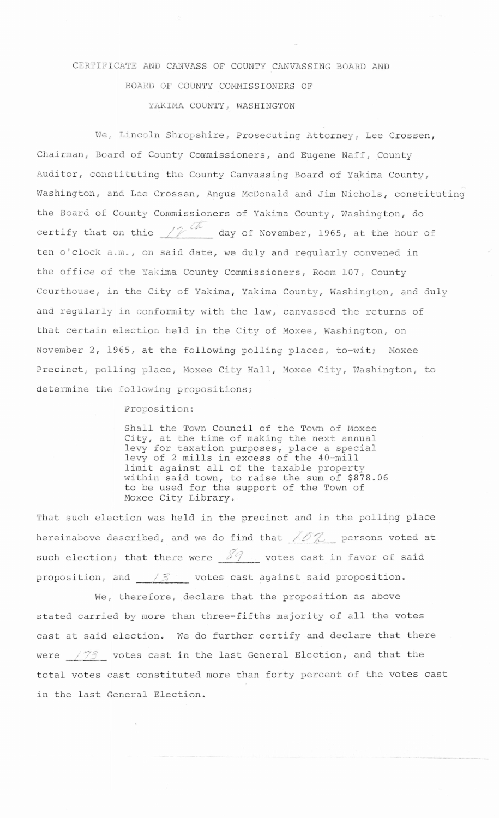## CERTIFICATE AND CANVASS OF COUNTY CANVASSING BOARD AND BOARD OF COUNTY COMMISSIONERS OF YAKIMA COUNTY, WASHINGTON

We, Lincoln Shropshire, Prosecuting Attorney, Lee Crossen, Chairman, Board of County Commissioners, and Eugene Naff, County Auditor, constituting the County Canvassing Board of Yakima County, Washington, and Lee Crossen, Angus McDonald and Jim Nichols, constituting the Board of County Commissioners of Yakima County, Washington, do certify that on thie  $\frac{1}{2}$   $\frac{dN}{dx}$  day of November, 1965, at the hour of ten o'clock a.m., on said date, we duly and regularly convened in the office of the Yakima County Commissioners, Room 107, County Courthouse, in the City of Yakima, Yakima County, Washington, and duly and regularly in conformity with the law, canvassed the returns of that certain election held in the City of Moxee, Washington, on November 2, 1965, at the following polling places, to-wit; Moxee Precinct, polling place, Moxee City Hall, Moxee City, Washington, to determine the following propositions;

Proposition:

Shall the Town Council of the Town of Moxee City, at the time of making the next annual levy for taxation purposes, place a special levy of 2 mills in excess of the 40-mill limit against all of the taxable property within said town, to raise the sum of \$878.06 to be used for the support of the Town of Moxee City Library.

That such election was held in the precinct and in the polling place hereinabove described, and we do find that  $\angle$   $\mathbb{C}$  persons voted at such election; that there were  $89$ , votes cast in favor of said proposition, and  $\frac{1}{3}$  votes cast against said proposition.

We, therefore, declare that the proposition as above stated carried by more than three-fifths majority of all the votes cast at said election. We do further certify and declare that there were  $\frac{\sqrt{75}}{2}$  votes cast in the last General Election, and that the total votes cast constituted more than forty percent of the votes cast in the last General Election.